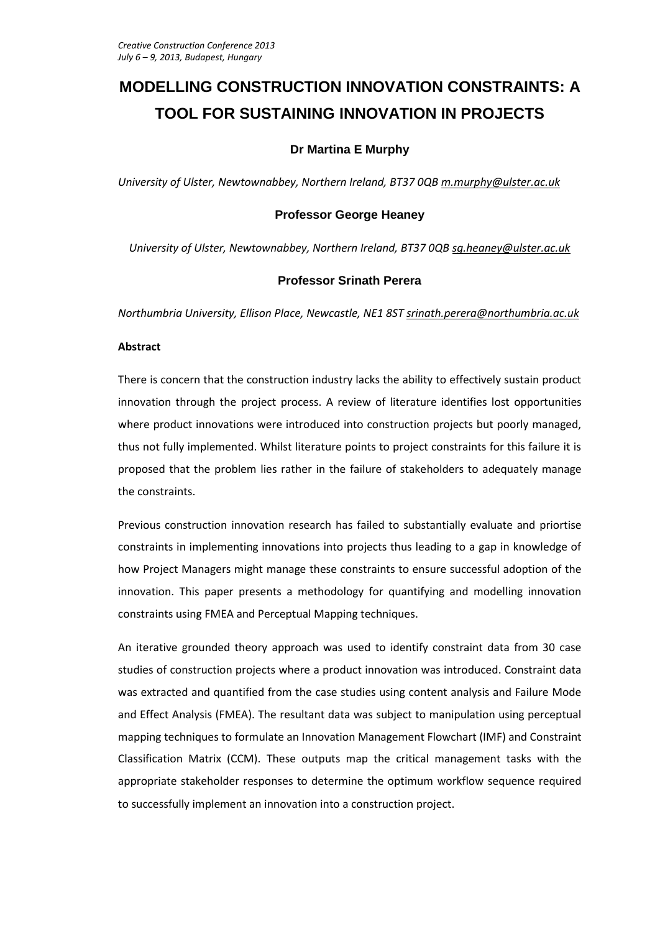# **MODELLING CONSTRUCTION INNOVATION CONSTRAINTS: A TOOL FOR SUSTAINING INNOVATION IN PROJECTS**

# **Dr Martina E Murphy**

*University of Ulster, Newtownabbey, Northern Ireland, BT37 0QB [m.murphy@ulster.ac.uk](mailto:m.murphy@ulster.ac.uk)*

# **Professor George Heaney**

*University of Ulster, Newtownabbey, Northern Ireland, BT37 0QB [sg.heaney@ulster.ac.uk](mailto:sg.heaney@ulster.ac.uk)*

# **Professor Srinath Perera**

*Northumbria University, Ellison Place, Newcastle, NE1 8ST [srinath.perera@northumbria.ac.uk](mailto:srinath.perera@northumbria.ac.uk)*

# **Abstract**

There is concern that the construction industry lacks the ability to effectively sustain product innovation through the project process. A review of literature identifies lost opportunities where product innovations were introduced into construction projects but poorly managed, thus not fully implemented. Whilst literature points to project constraints for this failure it is proposed that the problem lies rather in the failure of stakeholders to adequately manage the constraints.

Previous construction innovation research has failed to substantially evaluate and priortise constraints in implementing innovations into projects thus leading to a gap in knowledge of how Project Managers might manage these constraints to ensure successful adoption of the innovation. This paper presents a methodology for quantifying and modelling innovation constraints using FMEA and Perceptual Mapping techniques.

An iterative grounded theory approach was used to identify constraint data from 30 case studies of construction projects where a product innovation was introduced. Constraint data was extracted and quantified from the case studies using content analysis and Failure Mode and Effect Analysis (FMEA). The resultant data was subject to manipulation using perceptual mapping techniques to formulate an Innovation Management Flowchart (IMF) and Constraint Classification Matrix (CCM). These outputs map the critical management tasks with the appropriate stakeholder responses to determine the optimum workflow sequence required to successfully implement an innovation into a construction project.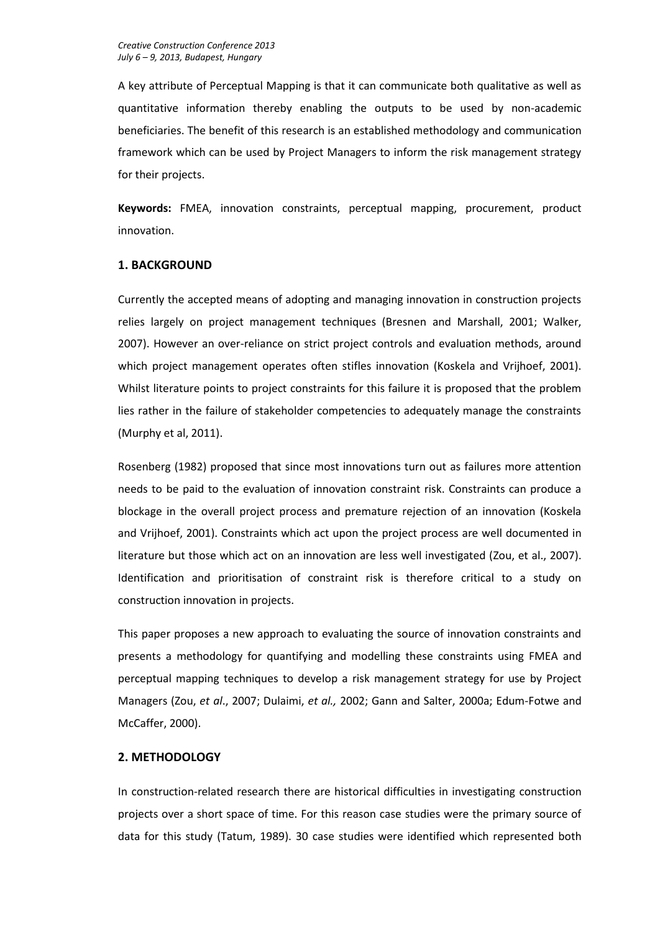A key attribute of Perceptual Mapping is that it can communicate both qualitative as well as quantitative information thereby enabling the outputs to be used by non-academic beneficiaries. The benefit of this research is an established methodology and communication framework which can be used by Project Managers to inform the risk management strategy for their projects.

**Keywords:** FMEA, innovation constraints, perceptual mapping, procurement, product innovation.

# **1. BACKGROUND**

Currently the accepted means of adopting and managing innovation in construction projects relies largely on project management techniques (Bresnen and Marshall, 2001; Walker, 2007). However an over-reliance on strict project controls and evaluation methods, around which project management operates often stifles innovation (Koskela and Vrijhoef, 2001). Whilst literature points to project constraints for this failure it is proposed that the problem lies rather in the failure of stakeholder competencies to adequately manage the constraints (Murphy et al, 2011).

Rosenberg (1982) proposed that since most innovations turn out as failures more attention needs to be paid to the evaluation of innovation constraint risk. Constraints can produce a blockage in the overall project process and premature rejection of an innovation (Koskela and Vrijhoef, 2001). Constraints which act upon the project process are well documented in literature but those which act on an innovation are less well investigated (Zou, et al., 2007). Identification and prioritisation of constraint risk is therefore critical to a study on construction innovation in projects.

This paper proposes a new approach to evaluating the source of innovation constraints and presents a methodology for quantifying and modelling these constraints using FMEA and perceptual mapping techniques to develop a risk management strategy for use by Project Managers (Zou, *et al*., 2007; Dulaimi, *et al.,* 2002; Gann and Salter, 2000a; Edum-Fotwe and McCaffer, 2000).

# **2. METHODOLOGY**

In construction-related research there are historical difficulties in investigating construction projects over a short space of time. For this reason case studies were the primary source of data for this study (Tatum, 1989). 30 case studies were identified which represented both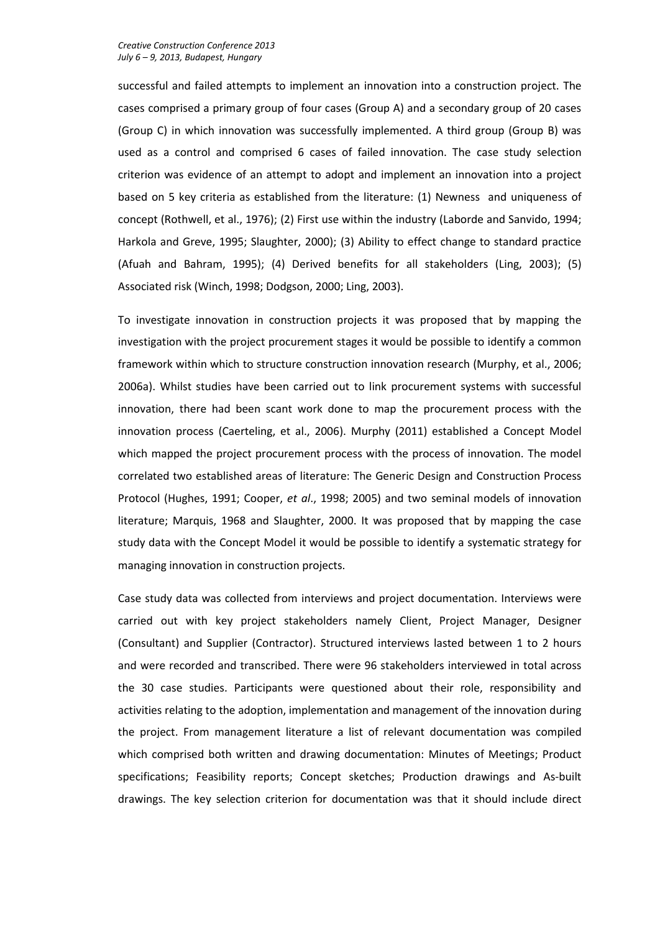successful and failed attempts to implement an innovation into a construction project. The cases comprised a primary group of four cases (Group A) and a secondary group of 20 cases (Group C) in which innovation was successfully implemented. A third group (Group B) was used as a control and comprised 6 cases of failed innovation. The case study selection criterion was evidence of an attempt to adopt and implement an innovation into a project based on 5 key criteria as established from the literature: (1) Newness and uniqueness of concept (Rothwell, et al., 1976); (2) First use within the industry (Laborde and Sanvido, 1994; Harkola and Greve, 1995; Slaughter, 2000); (3) Ability to effect change to standard practice (Afuah and Bahram, 1995); (4) Derived benefits for all stakeholders (Ling, 2003); (5) Associated risk (Winch, 1998; Dodgson, 2000; Ling, 2003).

To investigate innovation in construction projects it was proposed that by mapping the investigation with the project procurement stages it would be possible to identify a common framework within which to structure construction innovation research (Murphy, et al., 2006; 2006a). Whilst studies have been carried out to link procurement systems with successful innovation, there had been scant work done to map the procurement process with the innovation process (Caerteling, et al., 2006). Murphy (2011) established a Concept Model which mapped the project procurement process with the process of innovation. The model correlated two established areas of literature: The Generic Design and Construction Process Protocol (Hughes, 1991; Cooper, *et al*., 1998; 2005) and two seminal models of innovation literature; Marquis, 1968 and Slaughter, 2000. It was proposed that by mapping the case study data with the Concept Model it would be possible to identify a systematic strategy for managing innovation in construction projects.

Case study data was collected from interviews and project documentation. Interviews were carried out with key project stakeholders namely Client, Project Manager, Designer (Consultant) and Supplier (Contractor). Structured interviews lasted between 1 to 2 hours and were recorded and transcribed. There were 96 stakeholders interviewed in total across the 30 case studies. Participants were questioned about their role, responsibility and activities relating to the adoption, implementation and management of the innovation during the project. From management literature a list of relevant documentation was compiled which comprised both written and drawing documentation: Minutes of Meetings; Product specifications; Feasibility reports; Concept sketches; Production drawings and As-built drawings. The key selection criterion for documentation was that it should include direct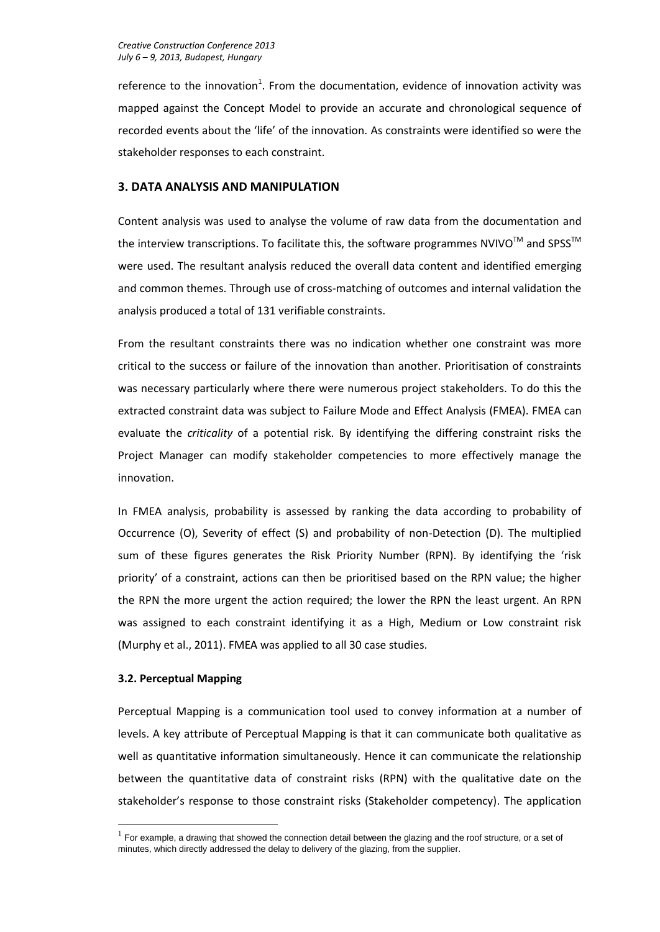reference to the innovation<sup>1</sup>. From the documentation, evidence of innovation activity was mapped against the Concept Model to provide an accurate and chronological sequence of recorded events about the 'life' of the innovation. As constraints were identified so were the stakeholder responses to each constraint.

# **3. DATA ANALYSIS AND MANIPULATION**

Content analysis was used to analyse the volume of raw data from the documentation and the interview transcriptions. To facilitate this, the software programmes NVIVO<sup>™</sup> and SPSS<sup>™</sup> were used. The resultant analysis reduced the overall data content and identified emerging and common themes. Through use of cross-matching of outcomes and internal validation the analysis produced a total of 131 verifiable constraints.

From the resultant constraints there was no indication whether one constraint was more critical to the success or failure of the innovation than another. Prioritisation of constraints was necessary particularly where there were numerous project stakeholders. To do this the extracted constraint data was subject to Failure Mode and Effect Analysis (FMEA). FMEA can evaluate the *criticality* of a potential risk. By identifying the differing constraint risks the Project Manager can modify stakeholder competencies to more effectively manage the innovation.

In FMEA analysis, probability is assessed by ranking the data according to probability of Occurrence (O), Severity of effect (S) and probability of non-Detection (D). The multiplied sum of these figures generates the Risk Priority Number (RPN). By identifying the 'risk priority' of a constraint, actions can then be prioritised based on the RPN value; the higher the RPN the more urgent the action required; the lower the RPN the least urgent. An RPN was assigned to each constraint identifying it as a High, Medium or Low constraint risk (Murphy et al., 2011). FMEA was applied to all 30 case studies.

# **3.2. Perceptual Mapping**

1

Perceptual Mapping is a communication tool used to convey information at a number of levels. A key attribute of Perceptual Mapping is that it can communicate both qualitative as well as quantitative information simultaneously. Hence it can communicate the relationship between the quantitative data of constraint risks (RPN) with the qualitative date on the stakeholder's response to those constraint risks (Stakeholder competency). The application

 $<sup>1</sup>$  For example, a drawing that showed the connection detail between the glazing and the roof structure, or a set of</sup> minutes, which directly addressed the delay to delivery of the glazing, from the supplier.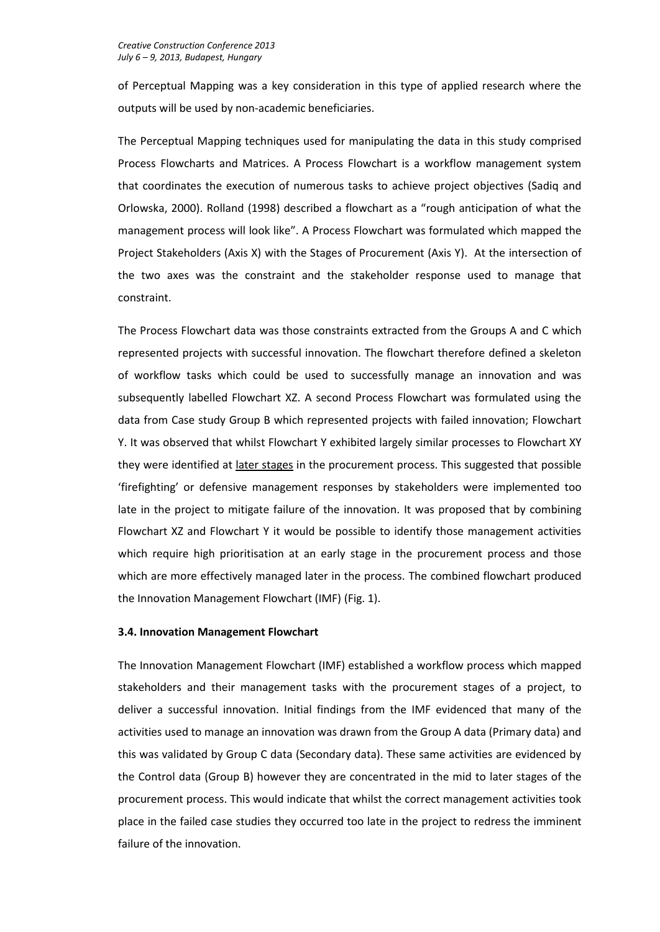of Perceptual Mapping was a key consideration in this type of applied research where the outputs will be used by non-academic beneficiaries.

The Perceptual Mapping techniques used for manipulating the data in this study comprised Process Flowcharts and Matrices. A Process Flowchart is a workflow management system that coordinates the execution of numerous tasks to achieve project objectives (Sadiq and Orlowska, 2000). Rolland (1998) described a flowchart as a "rough anticipation of what the management process will look like". A Process Flowchart was formulated which mapped the Project Stakeholders (Axis X) with the Stages of Procurement (Axis Y). At the intersection of the two axes was the constraint and the stakeholder response used to manage that constraint.

The Process Flowchart data was those constraints extracted from the Groups A and C which represented projects with successful innovation. The flowchart therefore defined a skeleton of workflow tasks which could be used to successfully manage an innovation and was subsequently labelled Flowchart XZ. A second Process Flowchart was formulated using the data from Case study Group B which represented projects with failed innovation; Flowchart Y. It was observed that whilst Flowchart Y exhibited largely similar processes to Flowchart XY they were identified at later stages in the procurement process. This suggested that possible 'firefighting' or defensive management responses by stakeholders were implemented too late in the project to mitigate failure of the innovation. It was proposed that by combining Flowchart XZ and Flowchart Y it would be possible to identify those management activities which require high prioritisation at an early stage in the procurement process and those which are more effectively managed later in the process. The combined flowchart produced the Innovation Management Flowchart (IMF) (Fig. 1).

# **3.4. Innovation Management Flowchart**

The Innovation Management Flowchart (IMF) established a workflow process which mapped stakeholders and their management tasks with the procurement stages of a project, to deliver a successful innovation. Initial findings from the IMF evidenced that many of the activities used to manage an innovation was drawn from the Group A data (Primary data) and this was validated by Group C data (Secondary data). These same activities are evidenced by the Control data (Group B) however they are concentrated in the mid to later stages of the procurement process. This would indicate that whilst the correct management activities took place in the failed case studies they occurred too late in the project to redress the imminent failure of the innovation.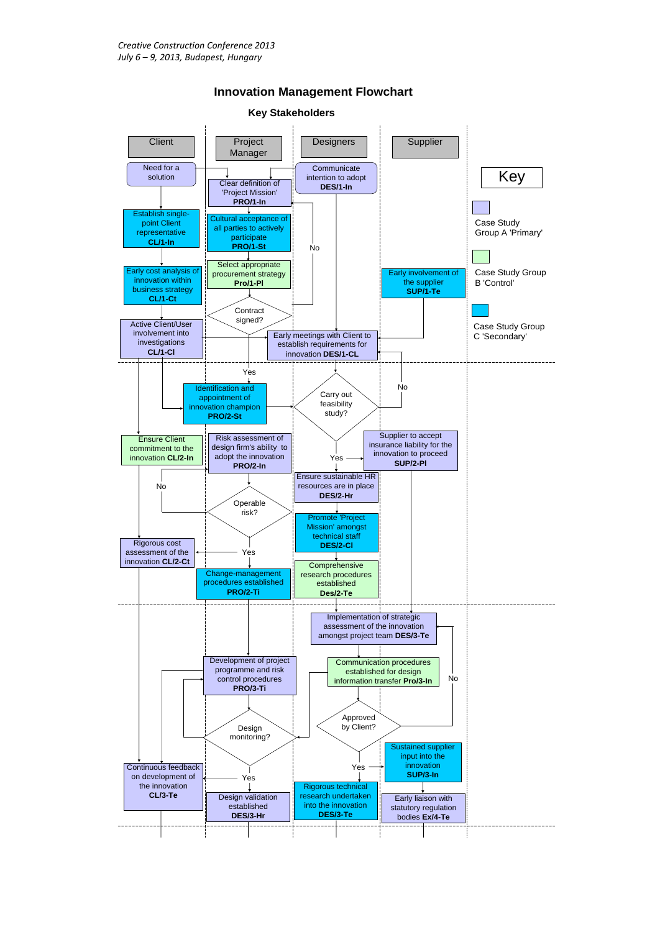

#### **Innovation Management Flowchart**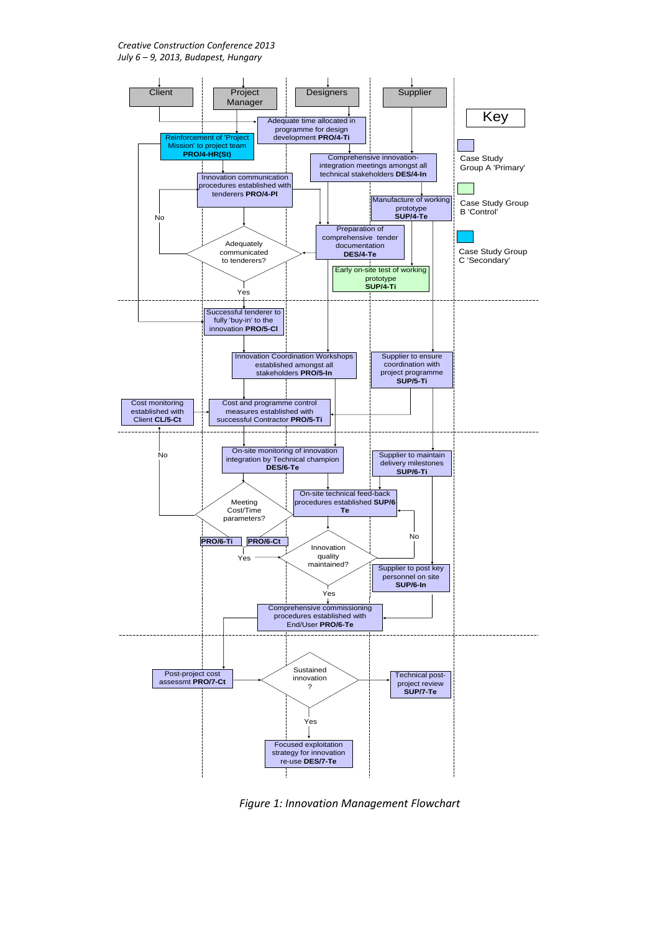*Creative Construction Conference 2013 July 6 – 9, 2013, Budapest, Hungary*



*Figure 1: Innovation Management Flowchart*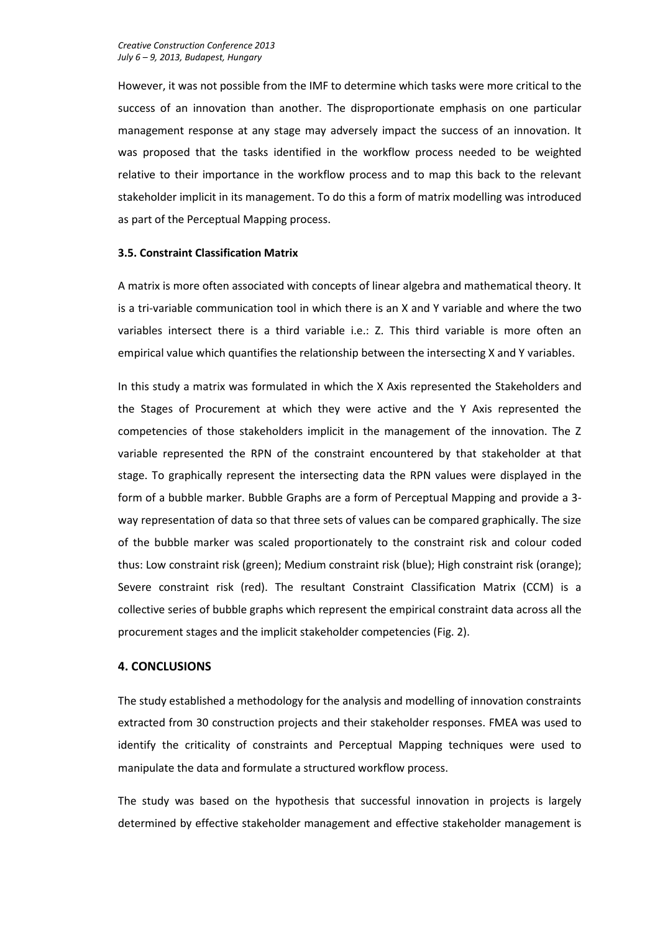However, it was not possible from the IMF to determine which tasks were more critical to the success of an innovation than another. The disproportionate emphasis on one particular management response at any stage may adversely impact the success of an innovation. It was proposed that the tasks identified in the workflow process needed to be weighted relative to their importance in the workflow process and to map this back to the relevant stakeholder implicit in its management. To do this a form of matrix modelling was introduced as part of the Perceptual Mapping process.

#### **3.5. Constraint Classification Matrix**

A matrix is more often associated with concepts of linear algebra and mathematical theory. It is a tri-variable communication tool in which there is an X and Y variable and where the two variables intersect there is a third variable i.e.: Z. This third variable is more often an empirical value which quantifies the relationship between the intersecting X and Y variables.

In this study a matrix was formulated in which the X Axis represented the Stakeholders and the Stages of Procurement at which they were active and the Y Axis represented the competencies of those stakeholders implicit in the management of the innovation. The Z variable represented the RPN of the constraint encountered by that stakeholder at that stage. To graphically represent the intersecting data the RPN values were displayed in the form of a bubble marker. Bubble Graphs are a form of Perceptual Mapping and provide a 3 way representation of data so that three sets of values can be compared graphically. The size of the bubble marker was scaled proportionately to the constraint risk and colour coded thus: Low constraint risk (green); Medium constraint risk (blue); High constraint risk (orange); Severe constraint risk (red). The resultant Constraint Classification Matrix (CCM) is a collective series of bubble graphs which represent the empirical constraint data across all the procurement stages and the implicit stakeholder competencies (Fig. 2).

# **4. CONCLUSIONS**

The study established a methodology for the analysis and modelling of innovation constraints extracted from 30 construction projects and their stakeholder responses. FMEA was used to identify the criticality of constraints and Perceptual Mapping techniques were used to manipulate the data and formulate a structured workflow process.

The study was based on the hypothesis that successful innovation in projects is largely determined by effective stakeholder management and effective stakeholder management is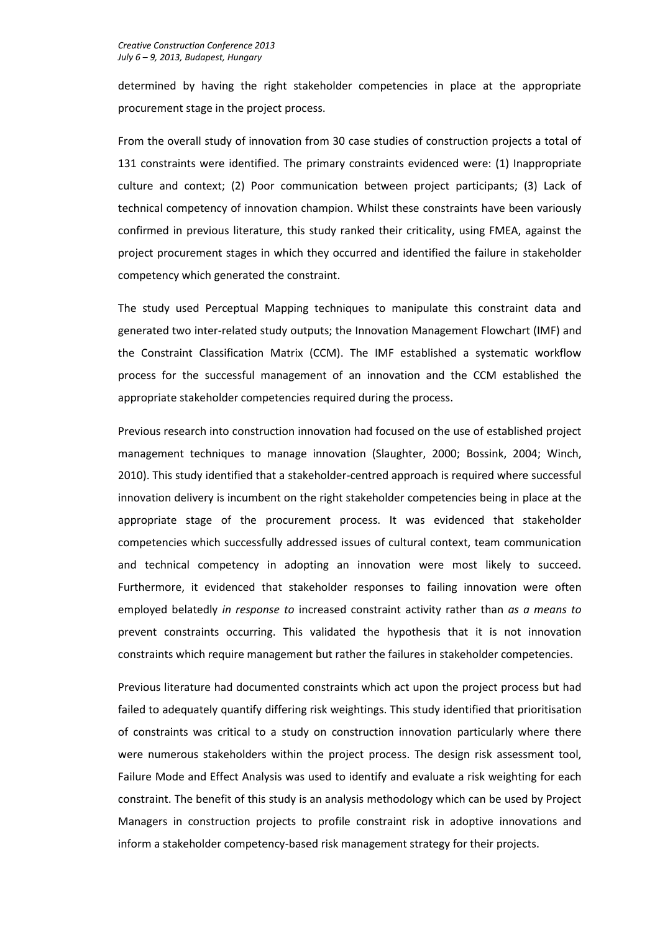determined by having the right stakeholder competencies in place at the appropriate procurement stage in the project process.

From the overall study of innovation from 30 case studies of construction projects a total of 131 constraints were identified. The primary constraints evidenced were: (1) Inappropriate culture and context; (2) Poor communication between project participants; (3) Lack of technical competency of innovation champion. Whilst these constraints have been variously confirmed in previous literature, this study ranked their criticality, using FMEA, against the project procurement stages in which they occurred and identified the failure in stakeholder competency which generated the constraint.

The study used Perceptual Mapping techniques to manipulate this constraint data and generated two inter-related study outputs; the Innovation Management Flowchart (IMF) and the Constraint Classification Matrix (CCM). The IMF established a systematic workflow process for the successful management of an innovation and the CCM established the appropriate stakeholder competencies required during the process.

Previous research into construction innovation had focused on the use of established project management techniques to manage innovation (Slaughter, 2000; Bossink, 2004; Winch, 2010). This study identified that a stakeholder-centred approach is required where successful innovation delivery is incumbent on the right stakeholder competencies being in place at the appropriate stage of the procurement process. It was evidenced that stakeholder competencies which successfully addressed issues of cultural context, team communication and technical competency in adopting an innovation were most likely to succeed. Furthermore, it evidenced that stakeholder responses to failing innovation were often employed belatedly *in response to* increased constraint activity rather than *as a means to* prevent constraints occurring. This validated the hypothesis that it is not innovation constraints which require management but rather the failures in stakeholder competencies.

Previous literature had documented constraints which act upon the project process but had failed to adequately quantify differing risk weightings. This study identified that prioritisation of constraints was critical to a study on construction innovation particularly where there were numerous stakeholders within the project process. The design risk assessment tool, Failure Mode and Effect Analysis was used to identify and evaluate a risk weighting for each constraint. The benefit of this study is an analysis methodology which can be used by Project Managers in construction projects to profile constraint risk in adoptive innovations and inform a stakeholder competency-based risk management strategy for their projects.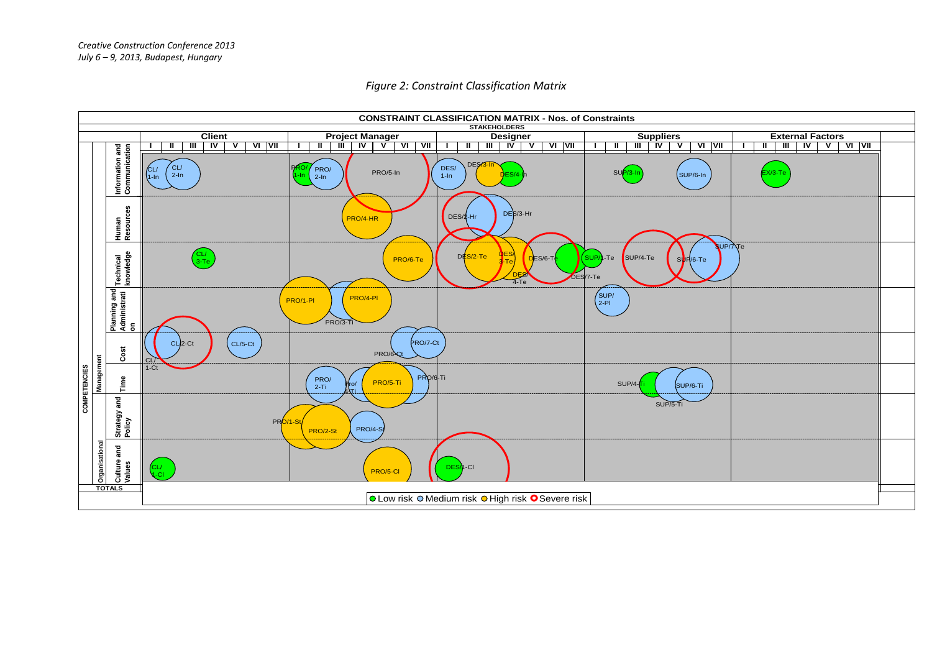

#### *Figure 2: Constraint Classification Matrix*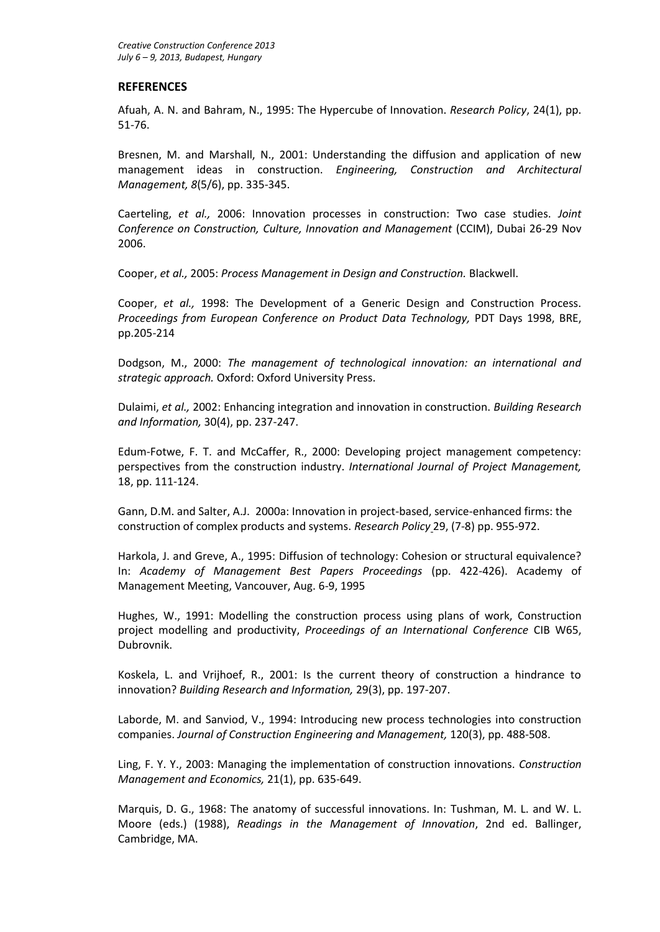# **REFERENCES**

Afuah, A. N. and Bahram, N., 1995: The Hypercube of Innovation. *Research Policy*, 24(1), pp. 51-76.

Bresnen, M. and Marshall, N., 2001: Understanding the diffusion and application of new management ideas in construction. *Engineering, Construction and Architectural Management, 8*(5/6), pp. 335-345.

Caerteling, *et al.,* 2006: Innovation processes in construction: Two case studies. *Joint Conference on Construction, Culture, Innovation and Management* (CCIM), Dubai 26-29 Nov 2006.

Cooper, *et al.,* 2005: *Process Management in Design and Construction.* Blackwell.

Cooper, *et al.,* 1998: The Development of a Generic Design and Construction Process. *Proceedings from European Conference on Product Data Technology,* PDT Days 1998, BRE, pp.205-214

Dodgson, M., 2000: *The management of technological innovation: an international and strategic approach.* Oxford: Oxford University Press.

Dulaimi, *et al.,* 2002: Enhancing integration and innovation in construction. *Building Research and Information,* 30(4), pp. 237-247.

Edum-Fotwe, F. T. and McCaffer, R., 2000: Developing project management competency: perspectives from the construction industry. *International Journal of Project Management,* 18, pp. 111-124.

Gann, D.M. and Salter, A.J. 2000a: Innovation in project-based, service-enhanced firms: the construction of complex products and systems. *Research Policy* 29, (7-8) pp. 955-972.

Harkola, J. and Greve, A., 1995: Diffusion of technology: Cohesion or structural equivalence? In: *Academy of Management Best Papers Proceedings* (pp. 422-426). Academy of Management Meeting, Vancouver, Aug. 6-9, 1995

Hughes, W., 1991: Modelling the construction process using plans of work, Construction project modelling and productivity, *Proceedings of an International Conference* CIB W65, Dubrovnik.

Koskela, L. and Vrijhoef, R., 2001: Is the current theory of construction a hindrance to innovation? *Building Research and Information,* 29(3), pp. 197-207.

Laborde, M. and Sanviod, V., 1994: Introducing new process technologies into construction companies. *Journal of Construction Engineering and Management,* 120(3), pp. 488-508.

Ling, F. Y. Y., 2003: Managing the implementation of construction innovations. *Construction Management and Economics,* 21(1), pp. 635-649.

Marquis, D. G., 1968: The anatomy of successful innovations. In: Tushman, M. L. and W. L. Moore (eds.) (1988), *Readings in the Management of Innovation*, 2nd ed. Ballinger, Cambridge, MA.